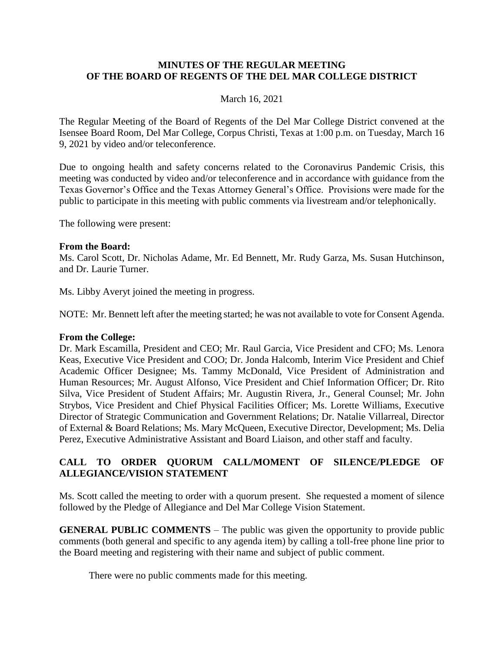#### **MINUTES OF THE REGULAR MEETING OF THE BOARD OF REGENTS OF THE DEL MAR COLLEGE DISTRICT**

#### March 16, 2021

The Regular Meeting of the Board of Regents of the Del Mar College District convened at the Isensee Board Room, Del Mar College, Corpus Christi, Texas at 1:00 p.m. on Tuesday, March 16 9, 2021 by video and/or teleconference.

Due to ongoing health and safety concerns related to the Coronavirus Pandemic Crisis, this meeting was conducted by video and/or teleconference and in accordance with guidance from the Texas Governor's Office and the Texas Attorney General's Office. Provisions were made for the public to participate in this meeting with public comments via livestream and/or telephonically.

The following were present:

#### **From the Board:**

Ms. Carol Scott, Dr. Nicholas Adame, Mr. Ed Bennett, Mr. Rudy Garza, Ms. Susan Hutchinson, and Dr. Laurie Turner.

Ms. Libby Averyt joined the meeting in progress.

NOTE: Mr. Bennett left after the meeting started; he was not available to vote for Consent Agenda.

#### **From the College:**

Dr. Mark Escamilla, President and CEO; Mr. Raul Garcia, Vice President and CFO; Ms. Lenora Keas, Executive Vice President and COO; Dr. Jonda Halcomb, Interim Vice President and Chief Academic Officer Designee; Ms. Tammy McDonald, Vice President of Administration and Human Resources; Mr. August Alfonso, Vice President and Chief Information Officer; Dr. Rito Silva, Vice President of Student Affairs; Mr. Augustin Rivera, Jr., General Counsel; Mr. John Strybos, Vice President and Chief Physical Facilities Officer; Ms. Lorette Williams, Executive Director of Strategic Communication and Government Relations; Dr. Natalie Villarreal, Director of External & Board Relations; Ms. Mary McQueen, Executive Director, Development; Ms. Delia Perez, Executive Administrative Assistant and Board Liaison, and other staff and faculty.

### **CALL TO ORDER QUORUM CALL/MOMENT OF SILENCE/PLEDGE OF ALLEGIANCE/VISION STATEMENT**

Ms. Scott called the meeting to order with a quorum present. She requested a moment of silence followed by the Pledge of Allegiance and Del Mar College Vision Statement.

**GENERAL PUBLIC COMMENTS** – The public was given the opportunity to provide public comments (both general and specific to any agenda item) by calling a toll-free phone line prior to the Board meeting and registering with their name and subject of public comment.

There were no public comments made for this meeting.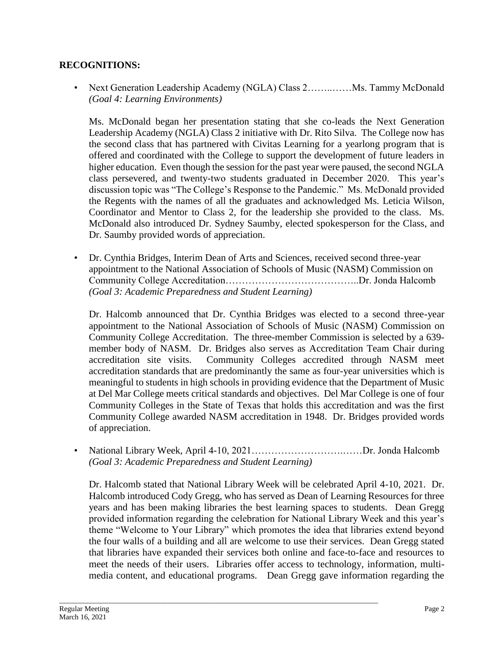### **RECOGNITIONS:**

• Next Generation Leadership Academy (NGLA) Class 2................ Ms. Tammy McDonald *(Goal 4: Learning Environments)*

Ms. McDonald began her presentation stating that she co-leads the Next Generation Leadership Academy (NGLA) Class 2 initiative with Dr. Rito Silva. The College now has the second class that has partnered with Civitas Learning for a yearlong program that is offered and coordinated with the College to support the development of future leaders in higher education. Even though the session for the past year were paused, the second NGLA class persevered, and twenty-two students graduated in December 2020. This year's discussion topic was "The College's Response to the Pandemic." Ms. McDonald provided the Regents with the names of all the graduates and acknowledged Ms. Leticia Wilson, Coordinator and Mentor to Class 2, for the leadership she provided to the class. Ms. McDonald also introduced Dr. Sydney Saumby, elected spokesperson for the Class, and Dr. Saumby provided words of appreciation.

• Dr. Cynthia Bridges, Interim Dean of Arts and Sciences, received second three-year appointment to the National Association of Schools of Music (NASM) Commission on Community College Accreditation…………………………………..Dr. Jonda Halcomb *(Goal 3: Academic Preparedness and Student Learning)*

Dr. Halcomb announced that Dr. Cynthia Bridges was elected to a second three-year appointment to the National Association of Schools of Music (NASM) Commission on Community College Accreditation. The three-member Commission is selected by a 639 member body of NASM. Dr. Bridges also serves as Accreditation Team Chair during accreditation site visits. Community Colleges accredited through NASM meet accreditation standards that are predominantly the same as four-year universities which is meaningful to students in high schools in providing evidence that the Department of Music at Del Mar College meets critical standards and objectives. Del Mar College is one of four Community Colleges in the State of Texas that holds this accreditation and was the first Community College awarded NASM accreditation in 1948. Dr. Bridges provided words of appreciation.

• National Library Week, April 4-10, 2021……………………….……Dr. Jonda Halcomb *(Goal 3: Academic Preparedness and Student Learning)*

Dr. Halcomb stated that National Library Week will be celebrated April 4-10, 2021. Dr. Halcomb introduced Cody Gregg, who has served as Dean of Learning Resources for three years and has been making libraries the best learning spaces to students. Dean Gregg provided information regarding the celebration for National Library Week and this year's theme "Welcome to Your Library" which promotes the idea that libraries extend beyond the four walls of a building and all are welcome to use their services. Dean Gregg stated that libraries have expanded their services both online and face-to-face and resources to meet the needs of their users. Libraries offer access to technology, information, multimedia content, and educational programs. Dean Gregg gave information regarding the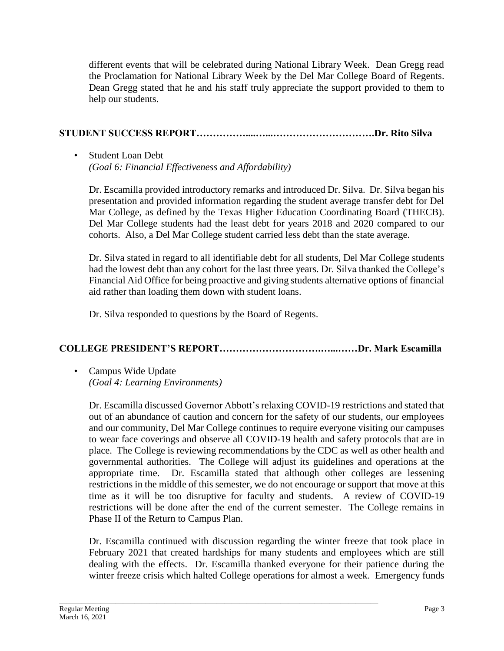different events that will be celebrated during National Library Week. Dean Gregg read the Proclamation for National Library Week by the Del Mar College Board of Regents. Dean Gregg stated that he and his staff truly appreciate the support provided to them to help our students.

# **STUDENT SUCCESS REPORT……………....…...………………………….Dr. Rito Silva**

### • Student Loan Debt *(Goal 6: Financial Effectiveness and Affordability)*

Dr. Escamilla provided introductory remarks and introduced Dr. Silva. Dr. Silva began his presentation and provided information regarding the student average transfer debt for Del Mar College, as defined by the Texas Higher Education Coordinating Board (THECB). Del Mar College students had the least debt for years 2018 and 2020 compared to our cohorts. Also, a Del Mar College student carried less debt than the state average.

Dr. Silva stated in regard to all identifiable debt for all students, Del Mar College students had the lowest debt than any cohort for the last three years. Dr. Silva thanked the College's Financial Aid Office for being proactive and giving students alternative options of financial aid rather than loading them down with student loans.

Dr. Silva responded to questions by the Board of Regents.

# **COLLEGE PRESIDENT'S REPORT………………………….…...……Dr. Mark Escamilla**

• Campus Wide Update *(Goal 4: Learning Environments)*

Dr. Escamilla discussed Governor Abbott's relaxing COVID-19 restrictions and stated that out of an abundance of caution and concern for the safety of our students, our employees and our community, Del Mar College continues to require everyone visiting our campuses to wear face coverings and observe all COVID-19 health and safety protocols that are in place. The College is reviewing recommendations by the CDC as well as other health and governmental authorities. The College will adjust its guidelines and operations at the appropriate time. Dr. Escamilla stated that although other colleges are lessening restrictions in the middle of this semester, we do not encourage or support that move at this time as it will be too disruptive for faculty and students. A review of COVID-19 restrictions will be done after the end of the current semester. The College remains in Phase II of the Return to Campus Plan.

Dr. Escamilla continued with discussion regarding the winter freeze that took place in February 2021 that created hardships for many students and employees which are still dealing with the effects. Dr. Escamilla thanked everyone for their patience during the winter freeze crisis which halted College operations for almost a week. Emergency funds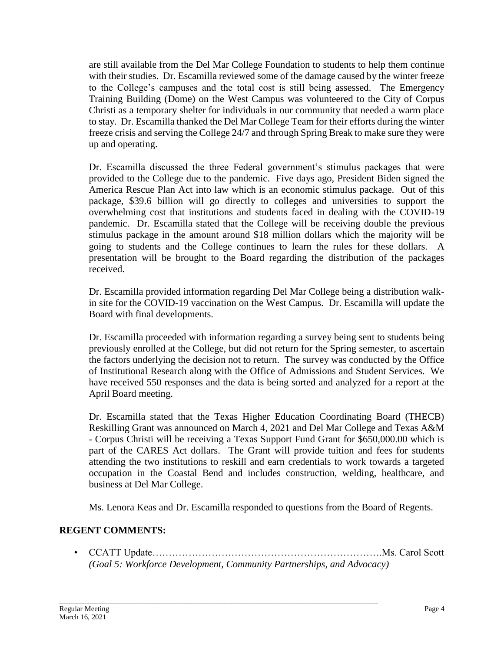are still available from the Del Mar College Foundation to students to help them continue with their studies. Dr. Escamilla reviewed some of the damage caused by the winter freeze to the College's campuses and the total cost is still being assessed. The Emergency Training Building (Dome) on the West Campus was volunteered to the City of Corpus Christi as a temporary shelter for individuals in our community that needed a warm place to stay. Dr. Escamilla thanked the Del Mar College Team for their efforts during the winter freeze crisis and serving the College 24/7 and through Spring Break to make sure they were up and operating.

Dr. Escamilla discussed the three Federal government's stimulus packages that were provided to the College due to the pandemic. Five days ago, President Biden signed the America Rescue Plan Act into law which is an economic stimulus package. Out of this package, \$39.6 billion will go directly to colleges and universities to support the overwhelming cost that institutions and students faced in dealing with the COVID-19 pandemic. Dr. Escamilla stated that the College will be receiving double the previous stimulus package in the amount around \$18 million dollars which the majority will be going to students and the College continues to learn the rules for these dollars. A presentation will be brought to the Board regarding the distribution of the packages received.

Dr. Escamilla provided information regarding Del Mar College being a distribution walkin site for the COVID-19 vaccination on the West Campus. Dr. Escamilla will update the Board with final developments.

Dr. Escamilla proceeded with information regarding a survey being sent to students being previously enrolled at the College, but did not return for the Spring semester, to ascertain the factors underlying the decision not to return. The survey was conducted by the Office of Institutional Research along with the Office of Admissions and Student Services. We have received 550 responses and the data is being sorted and analyzed for a report at the April Board meeting.

Dr. Escamilla stated that the Texas Higher Education Coordinating Board (THECB) Reskilling Grant was announced on March 4, 2021 and Del Mar College and Texas A&M - Corpus Christi will be receiving a Texas Support Fund Grant for \$650,000.00 which is part of the CARES Act dollars. The Grant will provide tuition and fees for students attending the two institutions to reskill and earn credentials to work towards a targeted occupation in the Coastal Bend and includes construction, welding, healthcare, and business at Del Mar College.

Ms. Lenora Keas and Dr. Escamilla responded to questions from the Board of Regents.

# **REGENT COMMENTS:**

• CCATT Update…………………………………………………………….Ms. Carol Scott *(Goal 5: Workforce Development, Community Partnerships, and Advocacy)*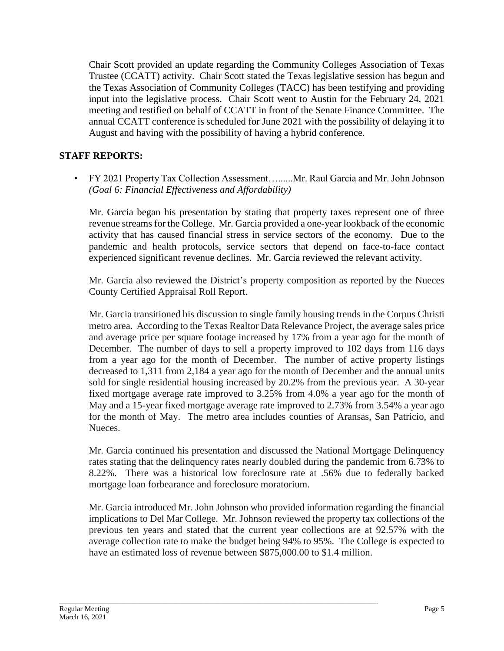Chair Scott provided an update regarding the Community Colleges Association of Texas Trustee (CCATT) activity. Chair Scott stated the Texas legislative session has begun and the Texas Association of Community Colleges (TACC) has been testifying and providing input into the legislative process. Chair Scott went to Austin for the February 24, 2021 meeting and testified on behalf of CCATT in front of the Senate Finance Committee. The annual CCATT conference is scheduled for June 2021 with the possibility of delaying it to August and having with the possibility of having a hybrid conference.

# **STAFF REPORTS:**

• FY 2021 Property Tax Collection Assessment…......Mr. Raul Garcia and Mr. John Johnson *(Goal 6: Financial Effectiveness and Affordability)*

Mr. Garcia began his presentation by stating that property taxes represent one of three revenue streams for the College. Mr. Garcia provided a one-year lookback of the economic activity that has caused financial stress in service sectors of the economy. Due to the pandemic and health protocols, service sectors that depend on face-to-face contact experienced significant revenue declines. Mr. Garcia reviewed the relevant activity.

Mr. Garcia also reviewed the District's property composition as reported by the Nueces County Certified Appraisal Roll Report.

Mr. Garcia transitioned his discussion to single family housing trends in the Corpus Christi metro area. According to the Texas Realtor Data Relevance Project, the average sales price and average price per square footage increased by 17% from a year ago for the month of December. The number of days to sell a property improved to 102 days from 116 days from a year ago for the month of December. The number of active property listings decreased to 1,311 from 2,184 a year ago for the month of December and the annual units sold for single residential housing increased by 20.2% from the previous year. A 30-year fixed mortgage average rate improved to 3.25% from 4.0% a year ago for the month of May and a 15-year fixed mortgage average rate improved to 2.73% from 3.54% a year ago for the month of May. The metro area includes counties of Aransas, San Patricio, and Nueces.

Mr. Garcia continued his presentation and discussed the National Mortgage Delinquency rates stating that the delinquency rates nearly doubled during the pandemic from 6.73% to 8.22%. There was a historical low foreclosure rate at .56% due to federally backed mortgage loan forbearance and foreclosure moratorium.

Mr. Garcia introduced Mr. John Johnson who provided information regarding the financial implications to Del Mar College. Mr. Johnson reviewed the property tax collections of the previous ten years and stated that the current year collections are at 92.57% with the average collection rate to make the budget being 94% to 95%. The College is expected to have an estimated loss of revenue between \$875,000.00 to \$1.4 million.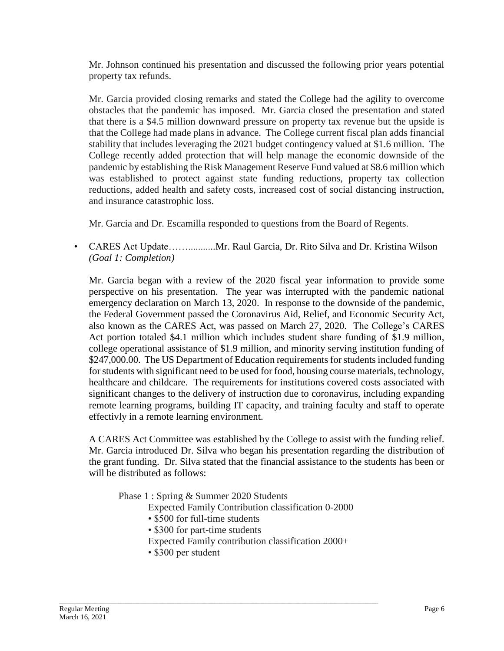Mr. Johnson continued his presentation and discussed the following prior years potential property tax refunds.

Mr. Garcia provided closing remarks and stated the College had the agility to overcome obstacles that the pandemic has imposed. Mr. Garcia closed the presentation and stated that there is a \$4.5 million downward pressure on property tax revenue but the upside is that the College had made plans in advance. The College current fiscal plan adds financial stability that includes leveraging the 2021 budget contingency valued at \$1.6 million. The College recently added protection that will help manage the economic downside of the pandemic by establishing the Risk Management Reserve Fund valued at \$8.6 million which was established to protect against state funding reductions, property tax collection reductions, added health and safety costs, increased cost of social distancing instruction, and insurance catastrophic loss.

Mr. Garcia and Dr. Escamilla responded to questions from the Board of Regents.

• CARES Act Update……...........Mr. Raul Garcia, Dr. Rito Silva and Dr. Kristina Wilson *(Goal 1: Completion)*

Mr. Garcia began with a review of the 2020 fiscal year information to provide some perspective on his presentation. The year was interrupted with the pandemic national emergency declaration on March 13, 2020. In response to the downside of the pandemic, the Federal Government passed the Coronavirus Aid, Relief, and Economic Security Act, also known as the CARES Act, was passed on March 27, 2020. The College's CARES Act portion totaled \$4.1 million which includes student share funding of \$1.9 million, college operational assistance of \$1.9 million, and minority serving institution funding of \$247,000.00. The US Department of Education requirements for students included funding for students with significant need to be used for food, housing course materials, technology, healthcare and childcare. The requirements for institutions covered costs associated with significant changes to the delivery of instruction due to coronavirus, including expanding remote learning programs, building IT capacity, and training faculty and staff to operate effectivly in a remote learning environment.

A CARES Act Committee was established by the College to assist with the funding relief. Mr. Garcia introduced Dr. Silva who began his presentation regarding the distribution of the grant funding. Dr. Silva stated that the financial assistance to the students has been or will be distributed as follows:

Phase 1 : Spring & Summer 2020 Students

- Expected Family Contribution classification 0-2000
- \$500 for full-time students
- \$300 for part-time students

- Expected Family contribution classification 2000+
- \$300 per student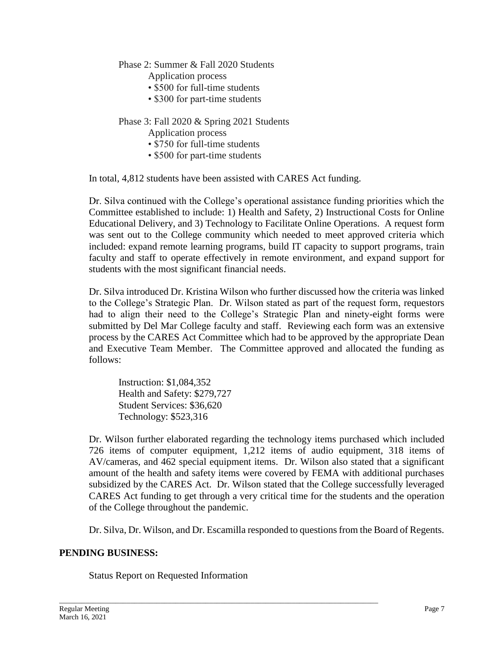### Phase 2: Summer & Fall 2020 Students

Application process

- \$500 for full-time students
- \$300 for part-time students

### Phase 3: Fall 2020 & Spring 2021 Students

Application process

- \$750 for full-time students
- \$500 for part-time students

In total, 4,812 students have been assisted with CARES Act funding.

Dr. Silva continued with the College's operational assistance funding priorities which the Committee established to include: 1) Health and Safety, 2) Instructional Costs for Online Educational Delivery, and 3) Technology to Facilitate Online Operations. A request form was sent out to the College community which needed to meet approved criteria which included: expand remote learning programs, build IT capacity to support programs, train faculty and staff to operate effectively in remote environment, and expand support for students with the most significant financial needs.

Dr. Silva introduced Dr. Kristina Wilson who further discussed how the criteria was linked to the College's Strategic Plan. Dr. Wilson stated as part of the request form, requestors had to align their need to the College's Strategic Plan and ninety-eight forms were submitted by Del Mar College faculty and staff. Reviewing each form was an extensive process by the CARES Act Committee which had to be approved by the appropriate Dean and Executive Team Member. The Committee approved and allocated the funding as follows:

Instruction: \$1,084,352 Health and Safety: \$279,727 Student Services: \$36,620 Technology: \$523,316

Dr. Wilson further elaborated regarding the technology items purchased which included 726 items of computer equipment, 1,212 items of audio equipment, 318 items of AV/cameras, and 462 special equipment items. Dr. Wilson also stated that a significant amount of the health and safety items were covered by FEMA with additional purchases subsidized by the CARES Act. Dr. Wilson stated that the College successfully leveraged CARES Act funding to get through a very critical time for the students and the operation of the College throughout the pandemic.

Dr. Silva, Dr. Wilson, and Dr. Escamilla responded to questions from the Board of Regents.

### **PENDING BUSINESS:**

Status Report on Requested Information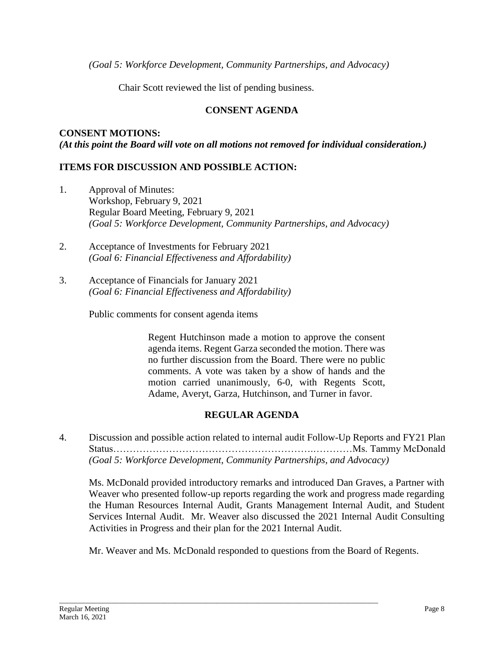*(Goal 5: Workforce Development, Community Partnerships, and Advocacy)*

Chair Scott reviewed the list of pending business.

# **CONSENT AGENDA**

**CONSENT MOTIONS:** *(At this point the Board will vote on all motions not removed for individual consideration.)*

### **ITEMS FOR DISCUSSION AND POSSIBLE ACTION:**

- 1. Approval of Minutes: Workshop, February 9, 2021 Regular Board Meeting, February 9, 2021 *(Goal 5: Workforce Development, Community Partnerships, and Advocacy)*
- 2. Acceptance of Investments for February 2021 *(Goal 6: Financial Effectiveness and Affordability)*
- 3. Acceptance of Financials for January 2021 *(Goal 6: Financial Effectiveness and Affordability)*

Public comments for consent agenda items

Regent Hutchinson made a motion to approve the consent agenda items. Regent Garza seconded the motion. There was no further discussion from the Board. There were no public comments. A vote was taken by a show of hands and the motion carried unanimously, 6-0, with Regents Scott, Adame, Averyt, Garza, Hutchinson, and Turner in favor.

# **REGULAR AGENDA**

4. Discussion and possible action related to internal audit Follow-Up Reports and FY21 Plan Status…………………………………………………….…………Ms. Tammy McDonald *(Goal 5: Workforce Development, Community Partnerships, and Advocacy)*

Ms. McDonald provided introductory remarks and introduced Dan Graves, a Partner with Weaver who presented follow-up reports regarding the work and progress made regarding the Human Resources Internal Audit, Grants Management Internal Audit, and Student Services Internal Audit. Mr. Weaver also discussed the 2021 Internal Audit Consulting Activities in Progress and their plan for the 2021 Internal Audit.

Mr. Weaver and Ms. McDonald responded to questions from the Board of Regents.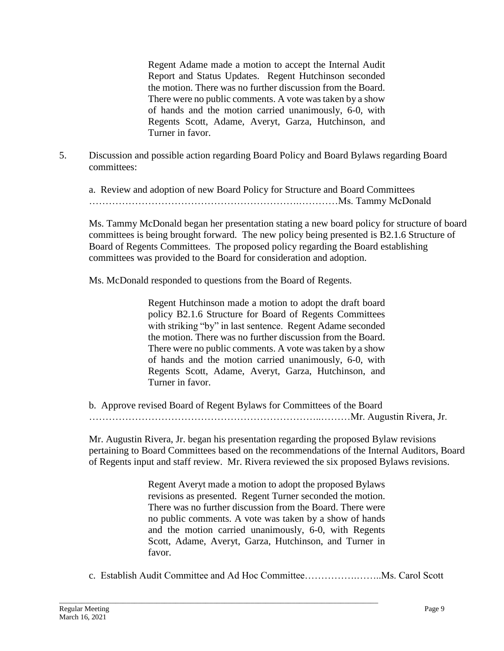Regent Adame made a motion to accept the Internal Audit Report and Status Updates. Regent Hutchinson seconded the motion. There was no further discussion from the Board. There were no public comments. A vote was taken by a show of hands and the motion carried unanimously, 6-0, with Regents Scott, Adame, Averyt, Garza, Hutchinson, and Turner in favor.

5. Discussion and possible action regarding Board Policy and Board Bylaws regarding Board committees:

a. Review and adoption of new Board Policy for Structure and Board Committees ……………………………………………………….…………Ms. Tammy McDonald

Ms. Tammy McDonald began her presentation stating a new board policy for structure of board committees is being brought forward. The new policy being presented is B2.1.6 Structure of Board of Regents Committees. The proposed policy regarding the Board establishing committees was provided to the Board for consideration and adoption.

Ms. McDonald responded to questions from the Board of Regents.

Regent Hutchinson made a motion to adopt the draft board policy B2.1.6 Structure for Board of Regents Committees with striking "by" in last sentence. Regent Adame seconded the motion. There was no further discussion from the Board. There were no public comments. A vote was taken by a show of hands and the motion carried unanimously, 6-0, with Regents Scott, Adame, Averyt, Garza, Hutchinson, and Turner in favor.

b. Approve revised Board of Regent Bylaws for Committees of the Board ……………………………………………………………..………Mr. Augustin Rivera, Jr.

Mr. Augustin Rivera, Jr. began his presentation regarding the proposed Bylaw revisions pertaining to Board Committees based on the recommendations of the Internal Auditors, Board of Regents input and staff review. Mr. Rivera reviewed the six proposed Bylaws revisions.

> Regent Averyt made a motion to adopt the proposed Bylaws revisions as presented. Regent Turner seconded the motion. There was no further discussion from the Board. There were no public comments. A vote was taken by a show of hands and the motion carried unanimously, 6-0, with Regents Scott, Adame, Averyt, Garza, Hutchinson, and Turner in favor.

c. Establish Audit Committee and Ad Hoc Committee…………….……..Ms. Carol Scott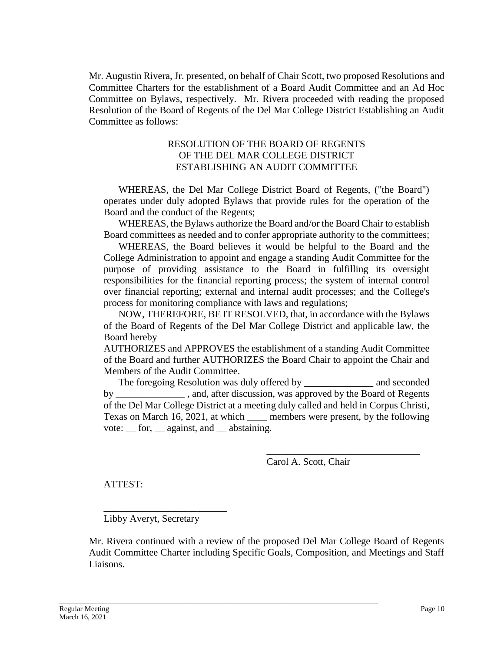Mr. Augustin Rivera, Jr. presented, on behalf of Chair Scott, two proposed Resolutions and Committee Charters for the establishment of a Board Audit Committee and an Ad Hoc Committee on Bylaws, respectively. Mr. Rivera proceeded with reading the proposed Resolution of the Board of Regents of the Del Mar College District Establishing an Audit Committee as follows:

#### RESOLUTION OF THE BOARD OF REGENTS OF THE DEL MAR COLLEGE DISTRICT ESTABLISHING AN AUDIT COMMITTEE

WHEREAS, the Del Mar College District Board of Regents, ("the Board") operates under duly adopted Bylaws that provide rules for the operation of the Board and the conduct of the Regents;

WHEREAS, the Bylaws authorize the Board and/or the Board Chair to establish Board committees as needed and to confer appropriate authority to the committees;

WHEREAS, the Board believes it would be helpful to the Board and the College Administration to appoint and engage a standing Audit Committee for the purpose of providing assistance to the Board in fulfilling its oversight responsibilities for the financial reporting process; the system of internal control over financial reporting; external and internal audit processes; and the College's process for monitoring compliance with laws and regulations;

NOW, THEREFORE, BE IT RESOLVED, that, in accordance with the Bylaws of the Board of Regents of the Del Mar College District and applicable law, the Board hereby

AUTHORIZES and APPROVES the establishment of a standing Audit Committee of the Board and further AUTHORIZES the Board Chair to appoint the Chair and Members of the Audit Committee.

The foregoing Resolution was duly offered by \_\_\_\_\_\_\_\_\_\_\_\_\_\_ and seconded by \_\_\_\_\_\_\_\_\_\_\_\_\_\_ , and, after discussion, was approved by the Board of Regents of the Del Mar College District at a meeting duly called and held in Corpus Christi, Texas on March 16, 2021, at which \_\_\_\_ members were present, by the following vote: \_\_ for, \_\_ against, and \_\_ abstaining.

Carol A. Scott, Chair

\_\_\_\_\_\_\_\_\_\_\_\_\_\_\_\_\_\_\_\_\_\_\_\_\_\_\_\_\_\_\_

ATTEST:

Libby Averyt, Secretary

\_\_\_\_\_\_\_\_\_\_\_\_\_\_\_\_\_\_\_\_\_\_\_\_\_

Mr. Rivera continued with a review of the proposed Del Mar College Board of Regents Audit Committee Charter including Specific Goals, Composition, and Meetings and Staff Liaisons.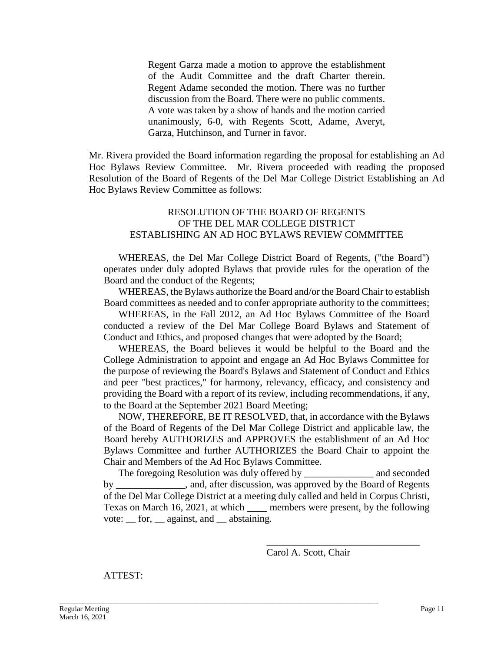Regent Garza made a motion to approve the establishment of the Audit Committee and the draft Charter therein. Regent Adame seconded the motion. There was no further discussion from the Board. There were no public comments. A vote was taken by a show of hands and the motion carried unanimously, 6-0, with Regents Scott, Adame, Averyt, Garza, Hutchinson, and Turner in favor.

Mr. Rivera provided the Board information regarding the proposal for establishing an Ad Hoc Bylaws Review Committee. Mr. Rivera proceeded with reading the proposed Resolution of the Board of Regents of the Del Mar College District Establishing an Ad Hoc Bylaws Review Committee as follows:

#### RESOLUTION OF THE BOARD OF REGENTS OF THE DEL MAR COLLEGE DISTR1CT ESTABLISHING AN AD HOC BYLAWS REVIEW COMMITTEE

WHEREAS, the Del Mar College District Board of Regents, ("the Board") operates under duly adopted Bylaws that provide rules for the operation of the Board and the conduct of the Regents;

WHEREAS, the Bylaws authorize the Board and/or the Board Chair to establish Board committees as needed and to confer appropriate authority to the committees;

WHEREAS, in the Fall 2012, an Ad Hoc Bylaws Committee of the Board conducted a review of the Del Mar College Board Bylaws and Statement of Conduct and Ethics, and proposed changes that were adopted by the Board;

WHEREAS, the Board believes it would be helpful to the Board and the College Administration to appoint and engage an Ad Hoc Bylaws Committee for the purpose of reviewing the Board's Bylaws and Statement of Conduct and Ethics and peer "best practices," for harmony, relevancy, efficacy, and consistency and providing the Board with a report of its review, including recommendations, if any, to the Board at the September 2021 Board Meeting;

NOW, THEREFORE, BE IT RESOLVED, that, in accordance with the Bylaws of the Board of Regents of the Del Mar College District and applicable law, the Board hereby AUTHORIZES and APPROVES the establishment of an Ad Hoc Bylaws Committee and further AUTHORIZES the Board Chair to appoint the Chair and Members of the Ad Hoc Bylaws Committee.

The foregoing Resolution was duly offered by \_\_\_\_\_\_\_\_\_\_\_\_\_\_ and seconded by \_\_\_\_\_\_\_\_\_\_\_\_\_\_, and, after discussion, was approved by the Board of Regents of the Del Mar College District at a meeting duly called and held in Corpus Christi, Texas on March 16, 2021, at which \_\_\_\_ members were present, by the following vote: \_\_ for, \_\_ against, and \_\_ abstaining.

\_\_\_\_\_\_\_\_\_\_\_\_\_\_\_\_\_\_\_\_\_\_\_\_\_\_\_\_\_\_\_\_\_\_\_\_\_\_\_\_\_\_\_\_\_\_\_\_\_\_\_\_\_\_\_\_\_\_\_\_\_\_\_\_\_\_\_\_\_\_\_\_\_\_\_\_\_\_\_\_\_\_\_\_\_

Carol A. Scott, Chair

\_\_\_\_\_\_\_\_\_\_\_\_\_\_\_\_\_\_\_\_\_\_\_\_\_\_\_\_\_\_\_

ATTEST: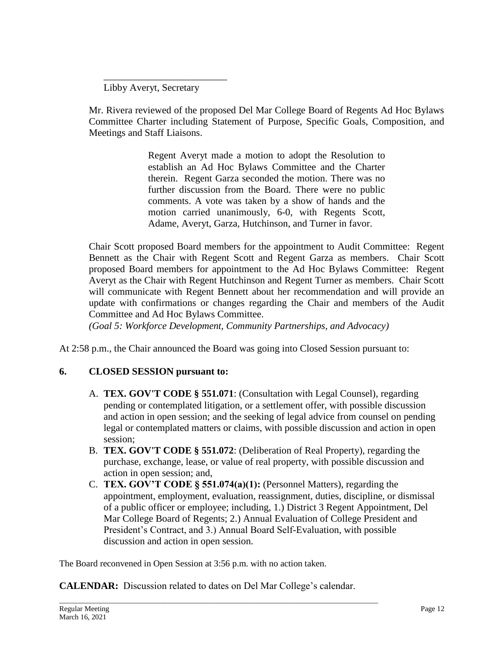Libby Averyt, Secretary

\_\_\_\_\_\_\_\_\_\_\_\_\_\_\_\_\_\_\_\_\_\_\_\_\_

Mr. Rivera reviewed of the proposed Del Mar College Board of Regents Ad Hoc Bylaws Committee Charter including Statement of Purpose, Specific Goals, Composition, and Meetings and Staff Liaisons.

> Regent Averyt made a motion to adopt the Resolution to establish an Ad Hoc Bylaws Committee and the Charter therein. Regent Garza seconded the motion. There was no further discussion from the Board. There were no public comments. A vote was taken by a show of hands and the motion carried unanimously, 6-0, with Regents Scott, Adame, Averyt, Garza, Hutchinson, and Turner in favor.

Chair Scott proposed Board members for the appointment to Audit Committee: Regent Bennett as the Chair with Regent Scott and Regent Garza as members. Chair Scott proposed Board members for appointment to the Ad Hoc Bylaws Committee: Regent Averyt as the Chair with Regent Hutchinson and Regent Turner as members. Chair Scott will communicate with Regent Bennett about her recommendation and will provide an update with confirmations or changes regarding the Chair and members of the Audit Committee and Ad Hoc Bylaws Committee.

*(Goal 5: Workforce Development, Community Partnerships, and Advocacy)*

At 2:58 p.m., the Chair announced the Board was going into Closed Session pursuant to:

# **6. CLOSED SESSION pursuant to:**

- A. **TEX. GOV'T CODE § 551.071**: (Consultation with Legal Counsel), regarding pending or contemplated litigation, or a settlement offer, with possible discussion and action in open session; and the seeking of legal advice from counsel on pending legal or contemplated matters or claims, with possible discussion and action in open session;
- B. **TEX. GOV'T CODE § 551.072**: (Deliberation of Real Property), regarding the purchase, exchange, lease, or value of real property, with possible discussion and action in open session; and,
- C. **TEX. GOV'T CODE § 551.074(a)(1):** (Personnel Matters), regarding the appointment, employment, evaluation, reassignment, duties, discipline, or dismissal of a public officer or employee; including, 1.) District 3 Regent Appointment, Del Mar College Board of Regents; 2.) Annual Evaluation of College President and President's Contract, and 3.) Annual Board Self-Evaluation, with possible discussion and action in open session.

The Board reconvened in Open Session at 3:56 p.m. with no action taken.

**CALENDAR:** Discussion related to dates on Del Mar College's calendar.